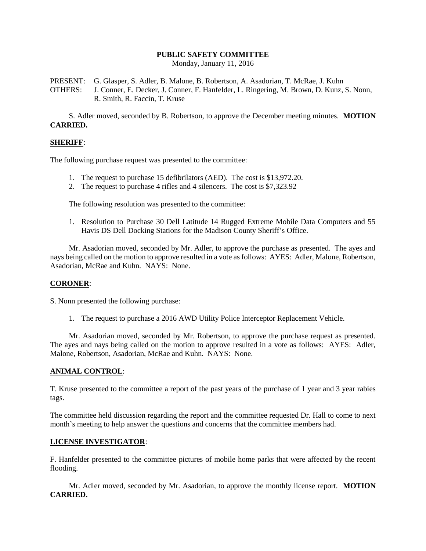# **PUBLIC SAFETY COMMITTEE**

Monday, January 11, 2016

PRESENT: G. Glasper, S. Adler, B. Malone, B. Robertson, A. Asadorian, T. McRae, J. Kuhn OTHERS: J. Conner, E. Decker, J. Conner, F. Hanfelder, L. Ringering, M. Brown, D. Kunz, S. Nonn, R. Smith, R. Faccin, T. Kruse

S. Adler moved, seconded by B. Robertson, to approve the December meeting minutes. **MOTION CARRIED.**

### **SHERIFF**:

The following purchase request was presented to the committee:

- 1. The request to purchase 15 defibrilators (AED). The cost is \$13,972.20.
- 2. The request to purchase 4 rifles and 4 silencers. The cost is \$7,323.92

The following resolution was presented to the committee:

1. Resolution to Purchase 30 Dell Latitude 14 Rugged Extreme Mobile Data Computers and 55 Havis DS Dell Docking Stations for the Madison County Sheriff's Office.

Mr. Asadorian moved, seconded by Mr. Adler, to approve the purchase as presented. The ayes and nays being called on the motion to approve resulted in a vote as follows: AYES: Adler, Malone, Robertson, Asadorian, McRae and Kuhn. NAYS: None.

### **CORONER**:

S. Nonn presented the following purchase:

1. The request to purchase a 2016 AWD Utility Police Interceptor Replacement Vehicle.

Mr. Asadorian moved, seconded by Mr. Robertson, to approve the purchase request as presented. The ayes and nays being called on the motion to approve resulted in a vote as follows: AYES: Adler, Malone, Robertson, Asadorian, McRae and Kuhn. NAYS: None.

### **ANIMAL CONTROL**:

T. Kruse presented to the committee a report of the past years of the purchase of 1 year and 3 year rabies tags.

The committee held discussion regarding the report and the committee requested Dr. Hall to come to next month's meeting to help answer the questions and concerns that the committee members had.

### **LICENSE INVESTIGATOR**:

F. Hanfelder presented to the committee pictures of mobile home parks that were affected by the recent flooding.

Mr. Adler moved, seconded by Mr. Asadorian, to approve the monthly license report. **MOTION CARRIED.**